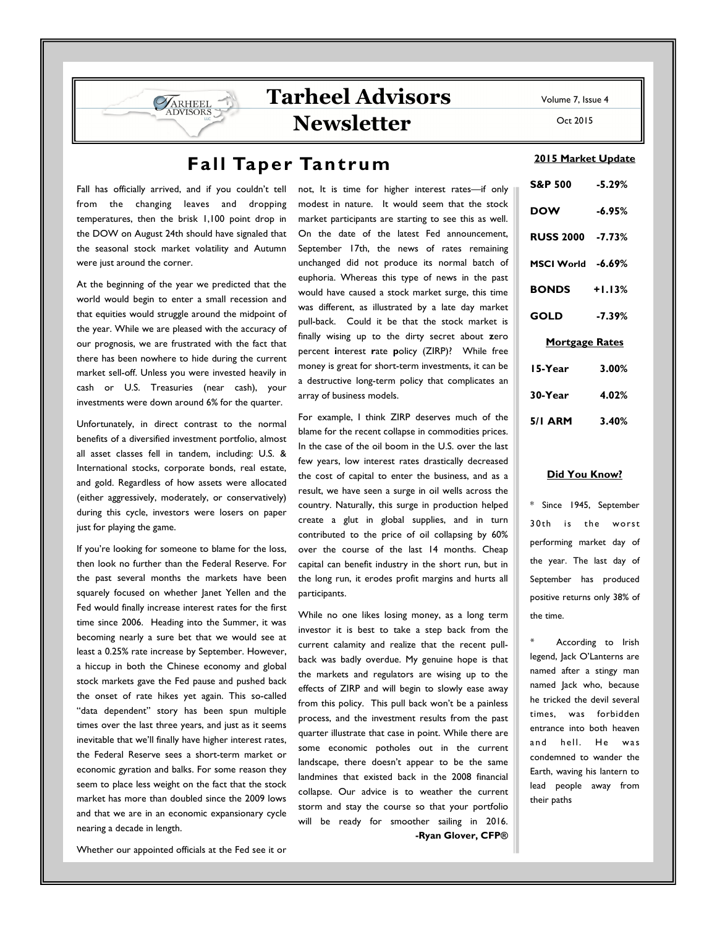# Tarheel Advisors Newsletter

## Fall Taper Tantrum

Fall has officially arrived, and if you couldn't tell from the changing leaves and dropping temperatures, then the brisk 1,100 point drop in the DOW on August 24th should have signaled that the seasonal stock market volatility and Autumn were just around the corner.

At the beginning of the year we predicted that the world would begin to enter a small recession and that equities would struggle around the midpoint of the year. While we are pleased with the accuracy of our prognosis, we are frustrated with the fact that there has been nowhere to hide during the current market sell-off. Unless you were invested heavily in cash or U.S. Treasuries (near cash), your investments were down around 6% for the quarter.

Unfortunately, in direct contrast to the normal benefits of a diversified investment portfolio, almost all asset classes fell in tandem, including: U.S. & International stocks, corporate bonds, real estate, and gold. Regardless of how assets were allocated (either aggressively, moderately, or conservatively) during this cycle, investors were losers on paper just for playing the game.

If you're looking for someone to blame for the loss, then look no further than the Federal Reserve. For the past several months the markets have been squarely focused on whether Janet Yellen and the Fed would finally increase interest rates for the first time since 2006. Heading into the Summer, it was becoming nearly a sure bet that we would see at least a 0.25% rate increase by September. However, a hiccup in both the Chinese economy and global stock markets gave the Fed pause and pushed back the onset of rate hikes yet again. This so-called "data dependent" story has been spun multiple times over the last three years, and just as it seems inevitable that we'll finally have higher interest rates, the Federal Reserve sees a short-term market or economic gyration and balks. For some reason they seem to place less weight on the fact that the stock market has more than doubled since the 2009 lows and that we are in an economic expansionary cycle nearing a decade in length.

not, It is time for higher interest rates—if only modest in nature. It would seem that the stock market participants are starting to see this as well. On the date of the latest Fed announcement, September 17th, the news of rates remaining unchanged did not produce its normal batch of euphoria. Whereas this type of news in the past would have caused a stock market surge, this time was different, as illustrated by a late day market pull-back. Could it be that the stock market is finally wising up to the dirty secret about zero percent interest rate policy (ZIRP)? While free money is great for short-term investments, it can be a destructive long-term policy that complicates an array of business models.

For example, I think ZIRP deserves much of the blame for the recent collapse in commodities prices. In the case of the oil boom in the U.S. over the last few years, low interest rates drastically decreased the cost of capital to enter the business, and as a result, we have seen a surge in oil wells across the country. Naturally, this surge in production helped create a glut in global supplies, and in turn contributed to the price of oil collapsing by 60% over the course of the last 14 months. Cheap capital can benefit industry in the short run, but in the long run, it erodes profit margins and hurts all participants.

While no one likes losing money, as a long term investor it is best to take a step back from the current calamity and realize that the recent pullback was badly overdue. My genuine hope is that the markets and regulators are wising up to the effects of ZIRP and will begin to slowly ease away from this policy. This pull back won't be a painless process, and the investment results from the past quarter illustrate that case in point. While there are some economic potholes out in the current landscape, there doesn't appear to be the same landmines that existed back in the 2008 financial collapse. Our advice is to weather the current storm and stay the course so that your portfolio will be ready for smoother sailing in 2016. -Ryan Glover, CFP®

Oct 2015

Volume 7, Issue 4

#### 2015 Market Update

| <b>S&amp;P 500</b>  | $-5.29%$ |  |  |  |
|---------------------|----------|--|--|--|
| <b>DOW</b>          | $-6.95%$ |  |  |  |
| RUSS 2000 - 7.73%   |          |  |  |  |
| MSCI World -6.69%   |          |  |  |  |
| <b>BONDS</b> +1.13% |          |  |  |  |
| <b>GOLD</b>         | $-7.39%$ |  |  |  |
| Mortgage Rates      |          |  |  |  |
| 15-Year             | 3.00%    |  |  |  |
| 30-Year             | 4.02%    |  |  |  |
| <b>5/1 ARM</b>      | $3.40\%$ |  |  |  |

#### Did You Know?

\* Since 1945, September 30th is the worst performing market day of the year. The last day of September has produced positive returns only 38% of the time.

According to Irish legend, Jack O'Lanterns are named after a stingy man named Jack who, because he tricked the devil several times, was forbidden entrance into both heaven and hell. He was condemned to wander the Earth, waving his lantern to lead people away from their paths